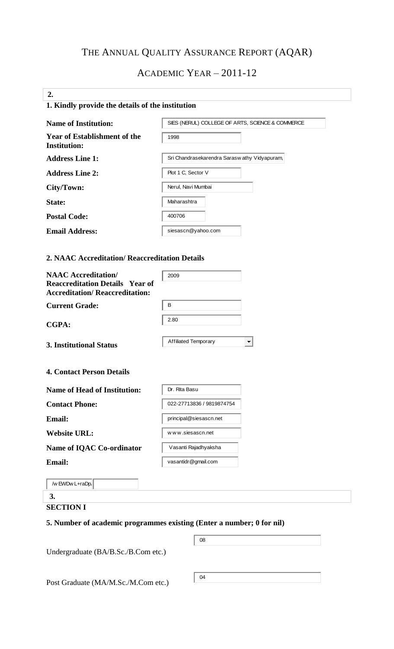# THE ANNUAL QUALITY ASSURANCE REPORT (AQAR)

## ACADEMIC YEAR – 2011-12

## **2. 1. Kindly provide the details of the institution**

| <b>Name of Institution:</b>                                | SIES (NERUL) COLLEGE OF ARTS, SCIENCE & COMMERCE |
|------------------------------------------------------------|--------------------------------------------------|
| <b>Year of Establishment of the</b><br><b>Institution:</b> | 1998                                             |
| <b>Address Line 1:</b>                                     | Sri Chandrasekarendra Saraswathy Vidyapuram,     |
| <b>Address Line 2:</b>                                     | Plot 1 C, Sector V                               |
| City/Town:                                                 | Nerul, Navi Mumbai                               |
| State:                                                     | Maharashtra                                      |
| <b>Postal Code:</b>                                        | 400706                                           |
| <b>Email Address:</b>                                      | siesascn@yahoo.com                               |

#### **2. NAAC Accreditation/ Reaccreditation Details**

| <b>NAAC Accreditation/</b>                                                      | 2009                        |
|---------------------------------------------------------------------------------|-----------------------------|
| <b>Reaccreditation Details Year of</b><br><b>Accreditation/Reaccreditation:</b> |                             |
| <b>Current Grade:</b>                                                           | В                           |
| <b>CGPA:</b>                                                                    | 2.80                        |
| <b>3. Institutional Status</b>                                                  | <b>Affiliated Temporary</b> |
| <b>4. Contact Person Details</b><br><b>Name of Head of Institution:</b>         | Dr. Rita Basu               |
|                                                                                 |                             |
| <b>Contact Phone:</b>                                                           | 022-27713836 / 9819874754   |
| Email:                                                                          | principal@siesascn.net      |
| <b>Website URL:</b>                                                             | www.siesascn.net            |
| <b>Name of IQAC Co-ordinator</b>                                                | Vasanti Rajadhyaksha        |
| <b>Email:</b>                                                                   | vasantidr@gmail.com         |
| /w EWDw L+raDp.                                                                 |                             |
| 3.                                                                              |                             |

## **SECTION I**

#### **5. Number of academic programmes existing (Enter a number; 0 for nil)**

| Post Graduate (MA/M.Sc./M.Com etc.) |
|-------------------------------------|
|-------------------------------------|

 $\vert$  04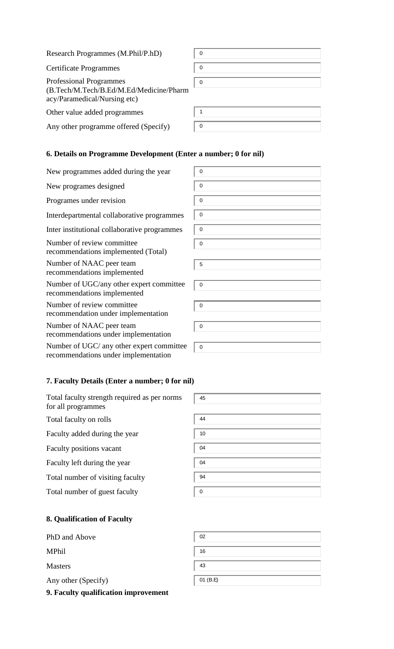| Research Programmes (M.Phil/P.hD)                                                                         | $\mathbf 0$ |
|-----------------------------------------------------------------------------------------------------------|-------------|
| <b>Certificate Programmes</b>                                                                             | $\mathbf 0$ |
| <b>Professional Programmes</b><br>(B.Tech/M.Tech/B.Ed/M.Ed/Medicine/Pharm<br>acy/Paramedical/Nursing etc) | $\mathbf 0$ |
| Other value added programmes                                                                              | 1           |
| Any other programme offered (Specify)                                                                     | 0           |

0

0

0

0

0

 $\overline{0}$ 

5

 $\vert$  0

0

0

0

45

## **6. Details on Programme Development (Enter a number; 0 for nil)**

New programmes added during the year

New programes designed

Programes under revision

Interdepartmental collaborative programmes

Inter institutional collaborative programmes

Number of review committee recommendations implemented (Total)

Number of NAAC peer team recommendations implemented

Number of UGC/any other expert committee recommendations implemented

Number of review committee recommendation under implementation

Number of NAAC peer team recommendations under implementation

Number of UGC/ any other expert committee recommendations under implementation

## **7. Faculty Details (Enter a number; 0 for nil)**

Total faculty strength required as per norms for all programmes Total faculty on rolls Faculty added during the year Faculty positions vacant Faculty left during the year

Total number of guest faculty

| 44       |  |  |
|----------|--|--|
| $10$     |  |  |
| 04       |  |  |
| 04       |  |  |
| 94       |  |  |
| $\Omega$ |  |  |

## **8. Qualification of Faculty**

PhD and Above

MPhil

Masters

Any other (Specify)

**9. Faculty qualification improvement** 

| 02       |  |
|----------|--|
| 16       |  |
| 43       |  |
| 01 (B.E) |  |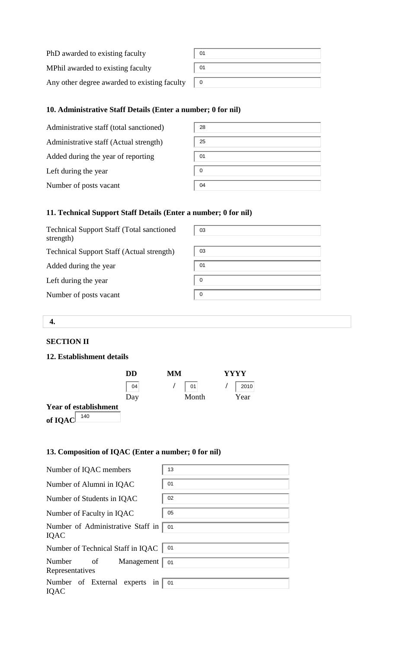| PhD awarded to existing faculty              | 01 |
|----------------------------------------------|----|
| MPhil awarded to existing faculty            | 01 |
| Any other degree awarded to existing faculty |    |

## **10. Administrative Staff Details (Enter a number; 0 for nil)**

| Administrative staff (total sanctioned) | 28 |
|-----------------------------------------|----|
| Administrative staff (Actual strength)  | 25 |
| Added during the year of reporting      | 01 |
| Left during the year                    | 0  |
| Number of posts vacant                  | 04 |

## **11. Technical Support Staff Details (Enter a number; 0 for nil)**

| <b>Technical Support Staff (Total sanctioned)</b><br>strength) | 03 |
|----------------------------------------------------------------|----|
| <b>Technical Support Staff (Actual strength)</b>               | 03 |
| Added during the year                                          | 01 |
| Left during the year                                           | 0  |
| Number of posts vacant                                         | 0  |

#### **4.**

#### **SECTION II**

#### **12. Establishment details**

|                              | DD  | MМ<br><b>YYYY</b> |      |
|------------------------------|-----|-------------------|------|
|                              | 04  | $\parallel$ 01    | 2010 |
|                              | Day | Month             | Year |
| <b>Year of establishment</b> |     |                   |      |
| 140<br>of IQAC               |     |                   |      |

## **13. Composition of IQAC (Enter a number; 0 for nil)**

| Number of IQAC members                        | 13 |
|-----------------------------------------------|----|
| Number of Alumni in IQAC                      | 01 |
| Number of Students in IQAC                    | 02 |
| Number of Faculty in IQAC                     | 05 |
| Number of Administrative Staff in<br>IQAC     | 01 |
| Number of Technical Staff in IQAC             | 01 |
| Number<br>Management<br>of<br>Representatives | 01 |
| Number of External experts in<br>IQAC         | 01 |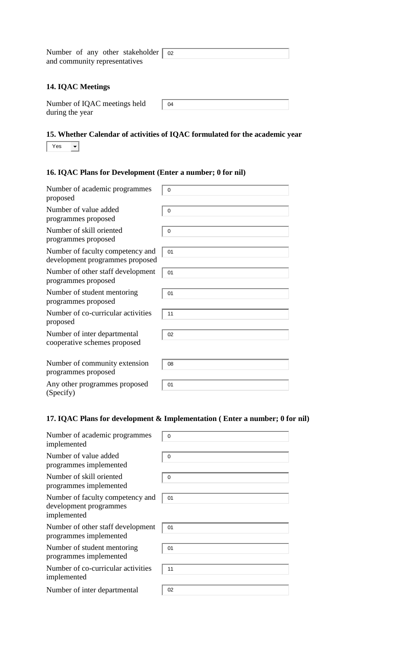| Number of any other stakeholder   02 |  |
|--------------------------------------|--|
| and community representatives        |  |

### **14. IQAC Meetings**

| Number of IQAC meetings held | 04 |
|------------------------------|----|
| during the year              |    |

# **15. Whether Calendar of activities of IQAC formulated for the academic year**

|--|

## **16. IQAC Plans for Development (Enter a number; 0 for nil)**

| Number of academic programmes<br>proposed                           | $\overline{0}$ |
|---------------------------------------------------------------------|----------------|
| Number of value added<br>programmes proposed                        | 0              |
| Number of skill oriented<br>programmes proposed                     | $\mathbf 0$    |
| Number of faculty competency and<br>development programmes proposed | 01             |
| Number of other staff development<br>programmes proposed            | 01             |
| Number of student mentoring<br>programmes proposed                  | 01             |
| Number of co-curricular activities<br>proposed                      | 11             |
| Number of inter departmental<br>cooperative schemes proposed        | 02             |
| Number of community extension<br>programmes proposed                | 08             |
| Any other programmes proposed<br>(Specify)                          | 01             |

## **17. IQAC Plans for development & Implementation ( Enter a number; 0 for nil)**

| Number of academic programmes<br>implemented                              | $\Omega$ |
|---------------------------------------------------------------------------|----------|
| Number of value added<br>programmes implemented                           | $\Omega$ |
| Number of skill oriented<br>programmes implemented                        | 0        |
| Number of faculty competency and<br>development programmes<br>implemented | 01       |
| Number of other staff development<br>programmes implemented               | 01       |
| Number of student mentoring<br>programmes implemented                     | 01       |
| Number of co-curricular activities<br>implemented                         | 11       |
| Number of inter departmental                                              | 02       |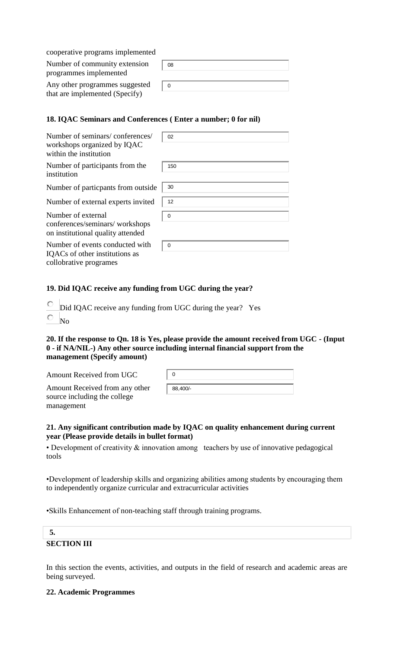| cooperative programs implemented                                 |    |
|------------------------------------------------------------------|----|
| Number of community extension<br>programmes implemented          | 08 |
| Any other programmes suggested<br>that are implemented (Specify) | 0  |

## **18. IQAC Seminars and Conferences ( Enter a number; 0 for nil)**

| Number of seminars/conferences/<br>workshops organized by IQAC<br>within the institution    | 02       |
|---------------------------------------------------------------------------------------------|----------|
| Number of participants from the<br>institution                                              | 150      |
| Number of particpants from outside                                                          | 30       |
| Number of external experts invited                                                          | 12       |
| Number of external<br>conferences/seminars/workshops<br>on institutional quality attended   | 0        |
| Number of events conducted with<br>IQACs of other institutions as<br>collobrative programes | $\Omega$ |

#### **19. Did IQAC receive any funding from UGC during the year?**

О Did IQAC receive any funding from UGC during the year? Yes

О No

#### **20. If the response to Qn. 18 is Yes, please provide the amount received from UGC - (Input 0 - if NA/NIL-) Any other source including internal financial support from the management (Specify amount)**

Amount Received from UGC

Amount Received from any other source including the college management

| 88,400/- |  |  |  |
|----------|--|--|--|

## **21. Any significant contribution made by IQAC on quality enhancement during current year (Please provide details in bullet format)**

• Development of creativity & innovation among teachers by use of innovative pedagogical tools

•Development of leadership skills and organizing abilities among students by encouraging them to independently organize curricular and extracurricular activities

•Skills Enhancement of non-teaching staff through training programs.

## **5. SECTION III**

In this section the events, activities, and outputs in the field of research and academic areas are being surveyed.

#### **22. Academic Programmes**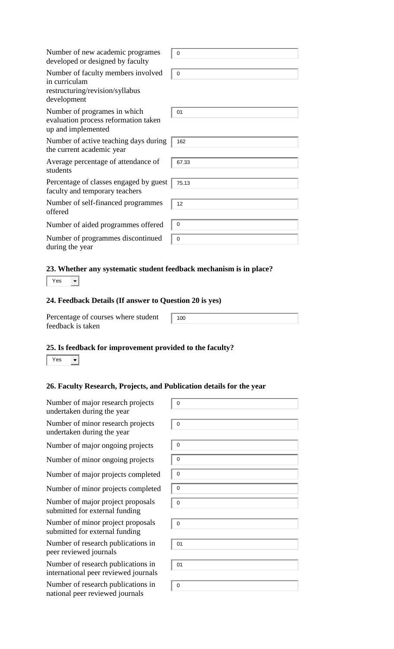| Number of new academic programes<br>developed or designed by faculty                                  | $\mathbf 0$    |
|-------------------------------------------------------------------------------------------------------|----------------|
| Number of faculty members involved<br>in curriculam<br>restructuring/revision/syllabus<br>development | $\mathbf 0$    |
| Number of programes in which<br>evaluation process reformation taken<br>up and implemented            | 01             |
| Number of active teaching days during<br>the current academic year                                    | 162            |
| Average percentage of attendance of<br>students                                                       | 67.33          |
| Percentage of classes engaged by guest<br>faculty and temporary teachers                              | 75.13          |
| Number of self-financed programmes<br>offered                                                         | 12             |
| Number of aided programmes offered                                                                    | 0              |
| Number of programmes discontinued<br>during the year                                                  | $\overline{0}$ |

## **23. Whether any systematic student feedback mechanism is in place?**

Yes<sup>1</sup>  $\vert \cdot \vert$ 

### **24. Feedback Details (If answer to Question 20 is yes)**

Percentage of courses where student feedback is taken

#### **25. Is feedback for improvement provided to the faculty?**

Yes<sup>1</sup>  $\overline{\phantom{a}}$ 

#### **26. Faculty Research, Projects, and Publication details for the year**

| Number of major research projects<br>undertaken during the year            | $\mathbf 0$ |
|----------------------------------------------------------------------------|-------------|
| Number of minor research projects<br>undertaken during the year            | $\mathbf 0$ |
| Number of major ongoing projects                                           | $\mathbf 0$ |
| Number of minor ongoing projects                                           | 0           |
| Number of major projects completed                                         | $\mathbf 0$ |
| Number of minor projects completed                                         | $\mathbf 0$ |
| Number of major project proposals<br>submitted for external funding        | $\mathbf 0$ |
| Number of minor project proposals<br>submitted for external funding        | $\mathbf 0$ |
| Number of research publications in<br>peer reviewed journals               | 01          |
| Number of research publications in<br>international peer reviewed journals | 01          |
| Number of research publications in<br>national peer reviewed journals      | $\mathbf 0$ |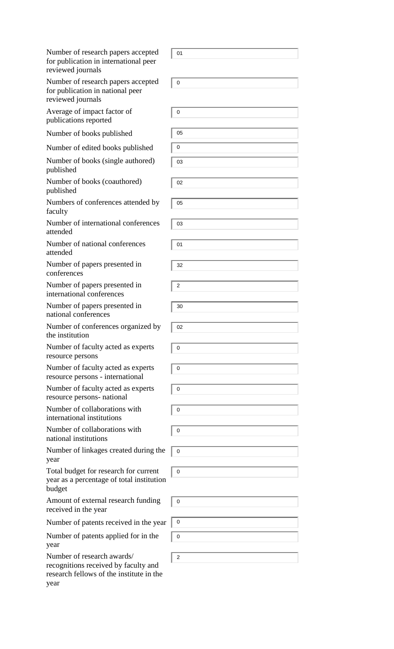| Number of research papers accepted<br>for publication in international peer<br>reviewed journals                       | 01             |
|------------------------------------------------------------------------------------------------------------------------|----------------|
| Number of research papers accepted<br>for publication in national peer<br>reviewed journals                            | $\mathbf 0$    |
| Average of impact factor of<br>publications reported                                                                   | 0              |
| Number of books published                                                                                              | 05             |
| Number of edited books published                                                                                       | 0              |
| Number of books (single authored)<br>published                                                                         | 03             |
| Number of books (coauthored)<br>published                                                                              | 02             |
| Numbers of conferences attended by<br>faculty                                                                          | 05             |
| Number of international conferences<br>attended                                                                        | 03             |
| Number of national conferences<br>attended                                                                             | 01             |
| Number of papers presented in<br>conferences                                                                           | 32             |
| Number of papers presented in<br>international conferences                                                             | 2              |
| Number of papers presented in<br>national conferences                                                                  | 30             |
| Number of conferences organized by<br>the institution                                                                  | 02             |
| Number of faculty acted as experts<br>resource persons                                                                 | 0              |
| Number of faculty acted as experts<br>resource persons - international                                                 | $\mathbf 0$    |
| Number of faculty acted as experts<br>resource persons- national                                                       | 0              |
| Number of collaborations with<br>international institutions                                                            | 0              |
| Number of collaborations with<br>national institutions                                                                 | $\pmb{0}$      |
| Number of linkages created during the<br>year                                                                          | 0              |
| Total budget for research for current<br>year as a percentage of total institution<br>budget                           | 0              |
| Amount of external research funding<br>received in the year                                                            | $\mathbf 0$    |
| Number of patents received in the year                                                                                 | 0              |
| Number of patents applied for in the<br>year                                                                           | $\mathbf 0$    |
| Number of research awards/<br>recognitions received by faculty and<br>research fellows of the institute in the<br>year | $\overline{2}$ |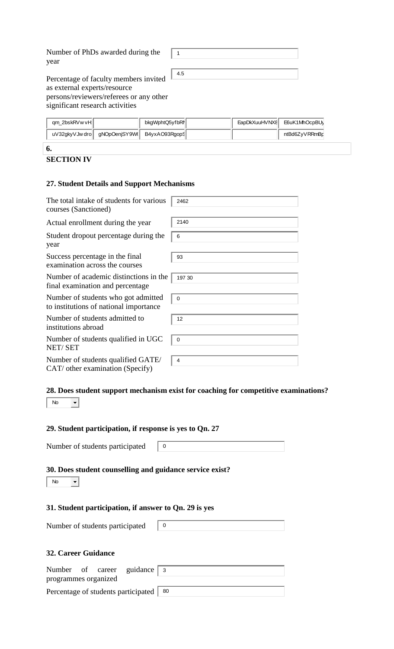Number of PhDs awarded during the year

 $\vert$  1 4.5  $\perp$ 

Percentage of faculty members invited as external experts/resource persons/reviewers/referees or any other significant research activities

| qm_2bskRVw vH∥ |                                              | bkgWphtQ5yfbRN |  | EapDkXuuHVNX8 E6uK1MhOcpBU |
|----------------|----------------------------------------------|----------------|--|----------------------------|
|                | uV32gkyVJwdro   gNOpOenjSY9W( B4yxAO93RgopS) |                |  | ntBd6ZyVRRmBp              |
| 6.             |                                              |                |  |                            |

## **SECTION IV**

## **27. Student Details and Support Mechanisms**

| The total intake of students for various<br>courses (Sanctioned)              | 2462           |
|-------------------------------------------------------------------------------|----------------|
| Actual enrollment during the year                                             | 2140           |
| Student dropout percentage during the<br>year                                 | 6              |
| Success percentage in the final<br>examination across the courses             | 93             |
| Number of academic distinctions in the<br>final examination and percentage    | 197 30         |
| Number of students who got admitted<br>to institutions of national importance | 0              |
| Number of students admitted to<br>institutions abroad                         | 12             |
| Number of students qualified in UGC<br>NET/SET                                | $\mathbf 0$    |
| Number of students qualified GATE/<br>CAT/ other examination (Specify)        | $\overline{4}$ |

#### **28. Does student support mechanism exist for coaching for competitive examinations?**  | No ╺╿

#### **29. Student participation, if response is yes to Qn. 27**

Number of students participated  $\begin{bmatrix} 0 \end{bmatrix}$ 

### **30. Does student counselling and guidance service exist?**

| No |  |
|----|--|
|----|--|

#### **31. Student participation, if answer to Qn. 29 is yes**

| Number of students participated |  |
|---------------------------------|--|
|                                 |  |

## **32. Career Guidance**

|                      |  | Number of career guidance 3              |  |
|----------------------|--|------------------------------------------|--|
| programmes organized |  |                                          |  |
|                      |  | Percentage of students participated   80 |  |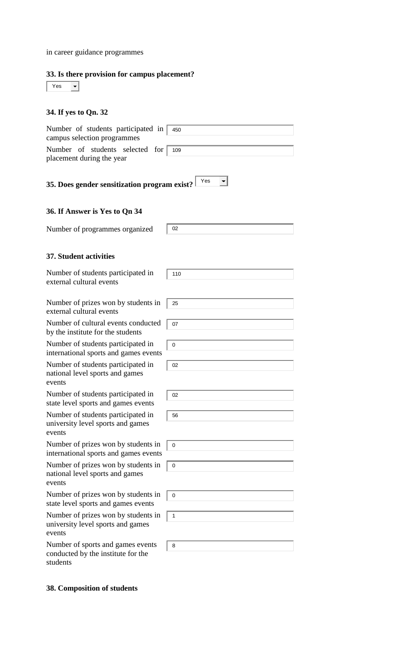in career guidance programmes

## **33. Is there provision for campus placement?**

| Yes |  |
|-----|--|
|     |  |

# **34. If yes to Qn. 32**

| Number of students participated in<br>campus selection programmes                   | 450         |
|-------------------------------------------------------------------------------------|-------------|
| Number of students selected for<br>placement during the year                        | 109         |
| 35. Does gender sensitization program exist?                                        | Yes         |
| 36. If Answer is Yes to Qn 34                                                       |             |
| Number of programmes organized                                                      | 02          |
| <b>37. Student activities</b>                                                       |             |
| Number of students participated in<br>external cultural events                      | 110         |
| Number of prizes won by students in<br>external cultural events                     | 25          |
| Number of cultural events conducted<br>by the institute for the students            | 07          |
| Number of students participated in<br>international sports and games events         | $\mathbf 0$ |
| Number of students participated in<br>national level sports and games<br>events     | 02          |
| Number of students participated in<br>state level sports and games events           | 02          |
| Number of students participated in<br>university level sports and games<br>events   | 56          |
| Number of prizes won by students in<br>international sports and games events        | $\mathbf 0$ |
| Number of prizes won by students in<br>national level sports and games<br>events    | 0           |
| Number of prizes won by students in<br>state level sports and games events          | 0           |
| Number of prizes won by students in<br>university level sports and games<br>events  | 1           |
| Number of sports and games events<br>conducted by the institute for the<br>students | 8           |

## **38. Composition of students**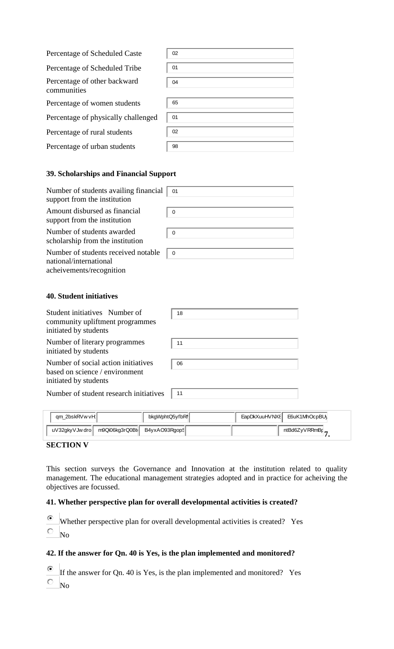| Percentage of Scheduled Caste               | 02 |
|---------------------------------------------|----|
| Percentage of Scheduled Tribe               | 01 |
| Percentage of other backward<br>communities | 04 |
| Percentage of women students                | 65 |
| Percentage of physically challenged         | 01 |
| Percentage of rural students                | 02 |
| Percentage of urban students                | 98 |

#### **39. Scholarships and Financial Support**

| Number of students availing financial<br>support from the institution | 01          |
|-----------------------------------------------------------------------|-------------|
| Amount disbursed as financial<br>support from the institution         | 0           |
| Number of students awarded<br>scholarship from the institution        | $\mathbf 0$ |
| Number of students received notable<br>national/international         | $\mathbf 0$ |

acheivements/recognition

#### **40. Student initiatives**

| Student initiatives Number of                                                                  | 18 |
|------------------------------------------------------------------------------------------------|----|
| community upliftment programmes<br>initiated by students                                       |    |
| Number of literary programmes<br>initiated by students                                         | 11 |
| Number of social action initiatives<br>based on science / environment<br>initiated by students | 06 |
| Number of student research initiatives                                                         | 11 |

| qm 2bskRVwvH                      | bkgWphtQ5yfbRI | EapDkXuuHVNX8 | E6uK1MhOcpBU\  |
|-----------------------------------|----------------|---------------|----------------|
| m9Qi06kg3rQ0Bt<br>uV32qkyVJw dro∥ | B4yxAO93RgopS  |               | ntBd6ZyVRRmBr_ |

## **SECTION V**

This section surveys the Governance and Innovation at the institution related to quality management. The educational management strategies adopted and in practice for acheiving the objectives are focussed.

### **41. Whether perspective plan for overall developmental activities is created?**

 $\odot$ Whether perspective plan for overall developmental activities is created? Yes

0. No

## **42. If the answer for Qn. 40 is Yes, is the plan implemented and monitored?**

 $\odot$ If the answer for Qn. 40 is Yes, is the plan implemented and monitored? Yes

 $\overline{\circ}$  No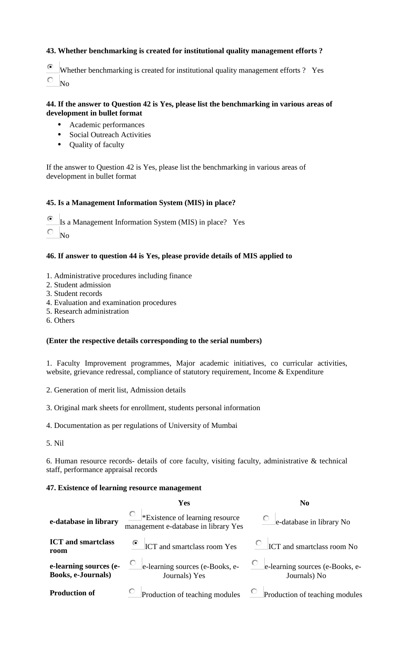## **43. Whether benchmarking is created for institutional quality management efforts ?**

- ⊙ Whether benchmarking is created for institutional quality management efforts ? Yes
- 0 No

### **44. If the answer to Question 42 is Yes, please list the benchmarking in various areas of development in bullet format**

- **•** Academic performances
- **•** Social Outreach Activities
- **•** Quality of faculty

If the answer to Question 42 is Yes, please list the benchmarking in various areas of development in bullet format

#### **45. Is a Management Information System (MIS) in place?**

⊙ Is a Management Information System (MIS) in place? Yes

О. No

#### **46. If answer to question 44 is Yes, please provide details of MIS applied to**

- 1. Administrative procedures including finance
- 2. Student admission
- 3. Student records
- 4. Evaluation and examination procedures
- 5. Research administration
- 6. Others

### **(Enter the respective details corresponding to the serial numbers)**

1. Faculty Improvement programmes, Major academic initiatives, co curricular activities, website, grievance redressal, compliance of statutory requirement, Income & Expenditure

2. Generation of merit list, Admission details

- 3. Original mark sheets for enrollment, students personal information
- 4. Documentation as per regulations of University of Mumbai
- 5. Nil

6. Human resource records- details of core faculty, visiting faculty, administrative & technical staff, performance appraisal records

#### **47. Existence of learning resource management**

|                                                     | Yes                                                                     | N <sub>0</sub>                                  |
|-----------------------------------------------------|-------------------------------------------------------------------------|-------------------------------------------------|
| e-database in library                               | *Existence of learning resource<br>management e-database in library Yes | $\circ$ e-database in library No                |
| <b>ICT</b> and smartclass<br>room                   | <sup>6</sup> ICT and smartclass room Yes                                | $\overline{C}$ ICT and smartclass room No       |
| e-learning sources (e-<br><b>Books, e-Journals)</b> | e-learning sources (e-Books, e-<br>Journals) Yes                        | e-learning sources (e-Books, e-<br>Journals) No |
| <b>Production of</b>                                | Production of teaching modules                                          | Production of teaching modules                  |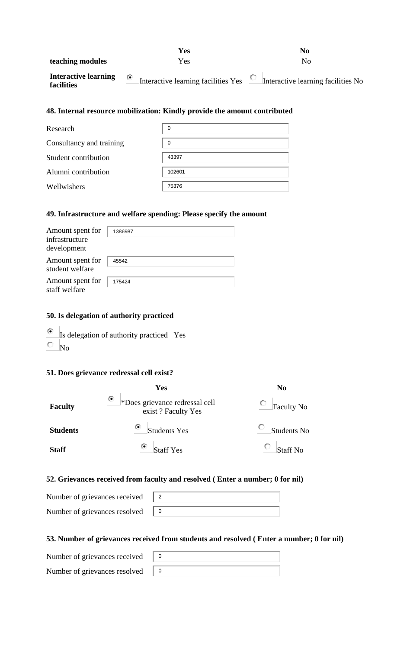|                                           | <b>Yes</b>                                         | No                                 |
|-------------------------------------------|----------------------------------------------------|------------------------------------|
| teaching modules                          | Yes                                                | Nο                                 |
| <b>Interactive learning</b><br>facilities | Interactive learning facilities Yes $\overline{C}$ | Interactive learning facilities No |

### **48. Internal resource mobilization: Kindly provide the amount contributed**

| Research                 | 0      |
|--------------------------|--------|
| Consultancy and training | 0      |
| Student contribution     | 43397  |
| Alumni contribution      | 102601 |
| Wellwishers              | 75376  |

#### **49. Infrastructure and welfare spending: Please specify the amount**

| Amount spent for<br>infrastructure<br>development | 1386987 |
|---------------------------------------------------|---------|
| Amount spent for<br>student welfare               | 45542   |
| Amount spent for<br>staff welfare                 | 175424  |

## **50. Is delegation of authority practiced**

- $\odot$ Is delegation of authority practiced Yes
- $\circ$ No

#### **51. Does grievance redressal cell exist?**

|                 | Yes                                                       | N <sub>0</sub>                       |
|-----------------|-----------------------------------------------------------|--------------------------------------|
| <b>Faculty</b>  | ۰<br>*Does grievance redressal cell<br>exist? Faculty Yes | Faculty No                           |
| <b>Students</b> | ۰<br><b>Students Yes</b>                                  | $\overline{\phantom{a}}$ Students No |
| <b>Staff</b>    | ۰<br><b>Staff Yes</b>                                     | <b>Staff No</b>                      |

#### **52. Grievances received from faculty and resolved ( Enter a number; 0 for nil)**

Number of grievances received Number of grievances resolved

## **53. Number of grievances received from students and resolved ( Enter a number; 0 for nil)**

Number of grievances received Number of grievances resolved